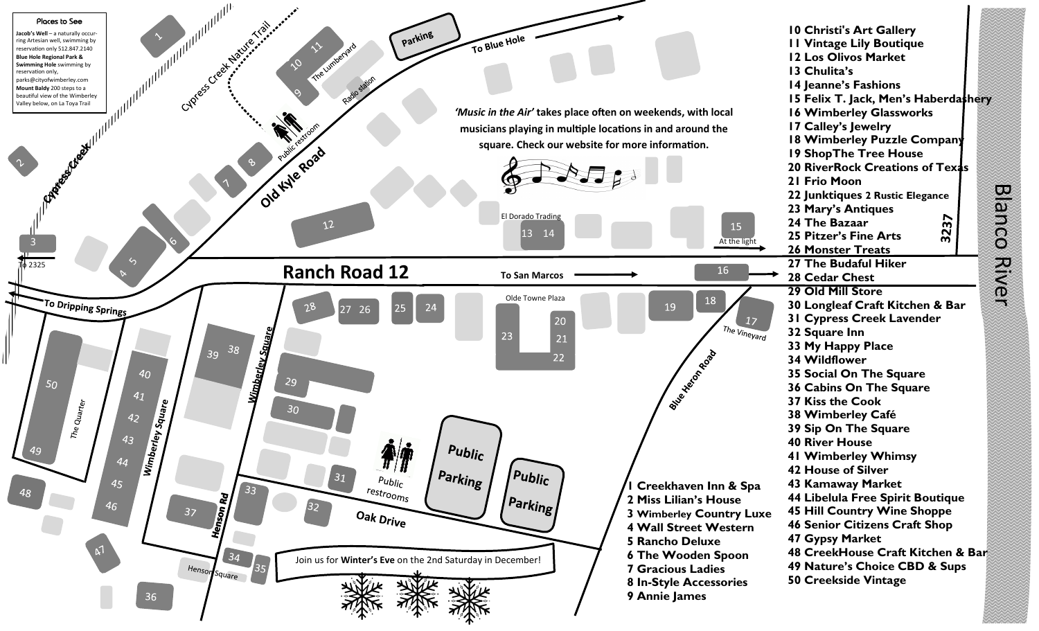